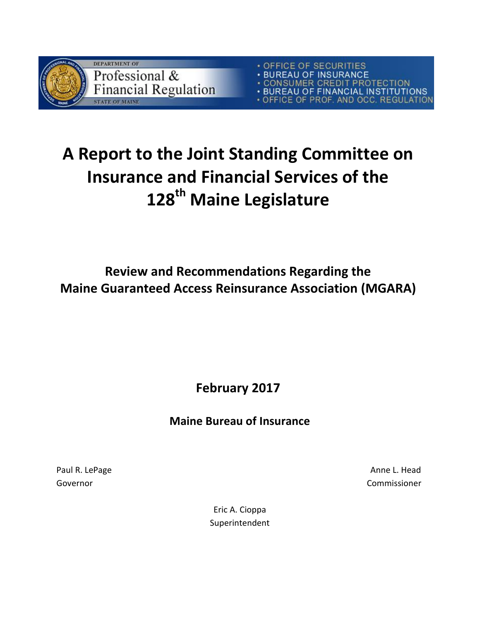

OFFICE OF SECURITIES<br>BUREAU OF INSURANCE **BOREAU OF INSURANCE<br>CONSUMER CREDIT PROTECTION<br>BUREAU OF FINANCIAL INSTITUTIONS**<br>OFFICE OF PROF. AND OCC. REGULATION

# **A Report to the Joint Standing Committee on Insurance and Financial Services of the 128th Maine Legislature**

**Review and Recommendations Regarding the Maine Guaranteed Access Reinsurance Association (MGARA)**

**February 2017**

# **Maine Bureau of Insurance**

Paul R. LePage Anne L. Head Governor Commissioner

> Eric A. Cioppa Superintendent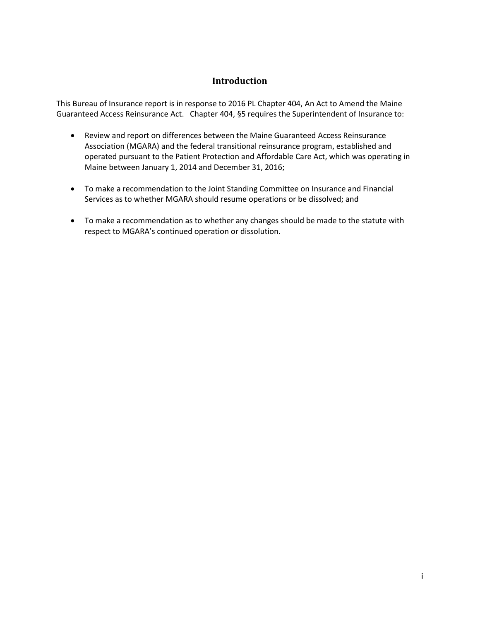### **Introduction**

<span id="page-1-0"></span>This Bureau of Insurance report is in response to 2016 PL Chapter 404, An Act to Amend the Maine Guaranteed Access Reinsurance Act. Chapter 404, §5 requires the Superintendent of Insurance to:

- Review and report on differences between the Maine Guaranteed Access Reinsurance Association (MGARA) and the federal transitional reinsurance program, established and operated pursuant to the Patient Protection and Affordable Care Act, which was operating in Maine between January 1, 2014 and December 31, 2016;
- To make a recommendation to the Joint Standing Committee on Insurance and Financial Services as to whether MGARA should resume operations or be dissolved; and
- To make a recommendation as to whether any changes should be made to the statute with respect to MGARA's continued operation or dissolution.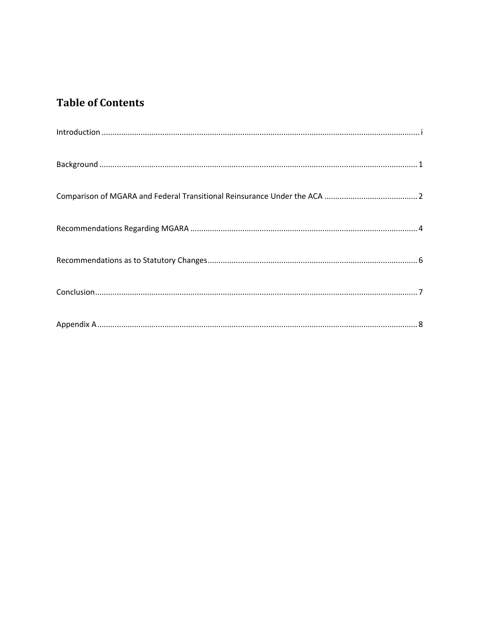# **Table of Contents**

| $\label{lem:1} \mbox{Introduction} \,\, \ldots \,\, \ldots \,\, \ldots \,\, \ldots \,\, \ldots \,\, \ldots \,\, \ldots \,\, \ldots \,\, \ldots \,\, \ldots \,\, \ldots \,\, \ldots \,\, \ldots \,\, \ldots \,\, \ldots \,\, \ldots \,\, \ldots \,\, \ldots \,\, \ldots \,\, \ldots \,\, \ldots \,\, \ldots \,\, \ldots \,\, \ldots \,\, \ldots \,\, \ldots \,\, \ldots \,\, \ldots \,\, \ldots \,\, \ldots \,\, \ldots \,\, \ldots \,\, \ldots \,\, \ldots \,\,$ |
|------------------------------------------------------------------------------------------------------------------------------------------------------------------------------------------------------------------------------------------------------------------------------------------------------------------------------------------------------------------------------------------------------------------------------------------------------------------|
|                                                                                                                                                                                                                                                                                                                                                                                                                                                                  |
|                                                                                                                                                                                                                                                                                                                                                                                                                                                                  |
|                                                                                                                                                                                                                                                                                                                                                                                                                                                                  |
|                                                                                                                                                                                                                                                                                                                                                                                                                                                                  |
|                                                                                                                                                                                                                                                                                                                                                                                                                                                                  |
|                                                                                                                                                                                                                                                                                                                                                                                                                                                                  |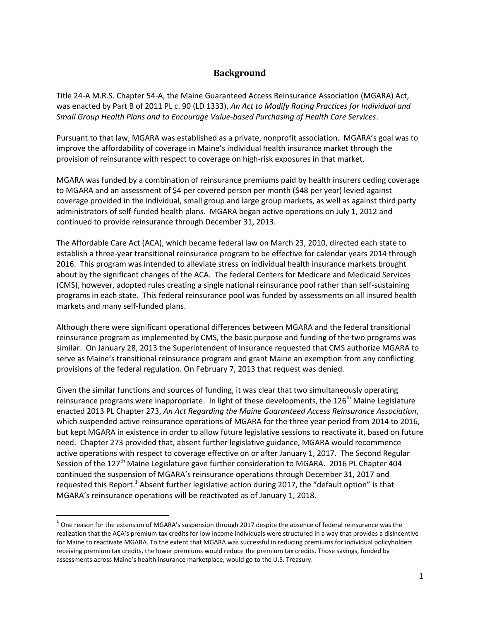# **Background**

<span id="page-3-0"></span>Title 24-A M.R.S. Chapter 54-A, the Maine Guaranteed Access Reinsurance Association (MGARA) Act, was enacted by Part B of 2011 PL c. 90 (LD 1333), *An Act to Modify Rating Practices for Individual and Small Group Health Plans and to Encourage Value-based Purchasing of Health Care Services*.

Pursuant to that law, MGARA was established as a private, nonprofit association. MGARA's goal was to improve the affordability of coverage in Maine's individual health insurance market through the provision of reinsurance with respect to coverage on high-risk exposures in that market.

MGARA was funded by a combination of reinsurance premiums paid by health insurers ceding coverage to MGARA and an assessment of \$4 per covered person per month (\$48 per year) levied against coverage provided in the individual, small group and large group markets, as well as against third party administrators of self-funded health plans. MGARA began active operations on July 1, 2012 and continued to provide reinsurance through December 31, 2013.

The Affordable Care Act (ACA), which became federal law on March 23, 2010, directed each state to establish a three-year transitional reinsurance program to be effective for calendar years 2014 through 2016. This program was intended to alleviate stress on individual health insurance markets brought about by the significant changes of the ACA. The federal Centers for Medicare and Medicaid Services (CMS), however, adopted rules creating a single national reinsurance pool rather than self-sustaining programs in each state. This federal reinsurance pool was funded by assessments on all insured health markets and many self-funded plans.

Although there were significant operational differences between MGARA and the federal transitional reinsurance program as implemented by CMS, the basic purpose and funding of the two programs was similar. On January 28, 2013 the Superintendent of Insurance requested that CMS authorize MGARA to serve as Maine's transitional reinsurance program and grant Maine an exemption from any conflicting provisions of the federal regulation. On February 7, 2013 that request was denied.

Given the similar functions and sources of funding, it was clear that two simultaneously operating reinsurance programs were inappropriate. In light of these developments, the 126<sup>th</sup> Maine Legislature enacted 2013 PL Chapter 273, *An Act Regarding the Maine Guaranteed Access Reinsurance Association*, which suspended active reinsurance operations of MGARA for the three year period from 2014 to 2016, but kept MGARA in existence in order to allow future legislative sessions to reactivate it, based on future need. Chapter 273 provided that, absent further legislative guidance, MGARA would recommence active operations with respect to coverage effective on or after January 1, 2017. The Second Regular Session of the 127<sup>th</sup> Maine Legislature gave further consideration to MGARA. 2016 PL Chapter 404 continued the suspension of MGARA's reinsurance operations through December 31, 2017 and requested this Report.<sup>1</sup> Absent further legislative action during 2017, the "default option" is that MGARA's reinsurance operations will be reactivated as of January 1, 2018.

 $\overline{\phantom{a}}$ 

 $^{\text{1}}$  One reason for the extension of MGARA's suspension through 2017 despite the absence of federal reinsurance was the realization that the ACA's premium tax credits for low income individuals were structured in a way that provides a disincentive for Maine to reactivate MGARA. To the extent that MGARA was successful in reducing premiums for individual policyholders receiving premium tax credits, the lower premiums would reduce the premium tax credits. Those savings, funded by assessments across Maine's health insurance marketplace, would go to the U.S. Treasury.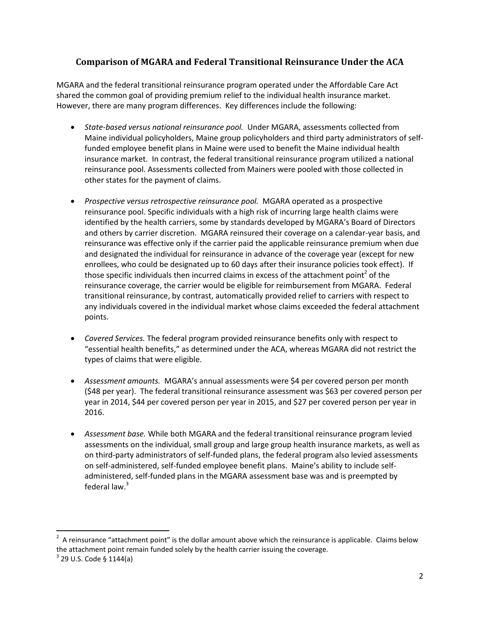# <span id="page-4-0"></span>**Comparison of MGARA and Federal Transitional Reinsurance Under the ACA**

MGARA and the federal transitional reinsurance program operated under the Affordable Care Act shared the common goal of providing premium relief to the individual health insurance market. However, there are many program differences. Key differences include the following:

- *State-based versus national reinsurance pool.* Under MGARA, assessments collected from Maine individual policyholders, Maine group policyholders and third party administrators of selffunded employee benefit plans in Maine were used to benefit the Maine individual health insurance market. In contrast, the federal transitional reinsurance program utilized a national reinsurance pool. Assessments collected from Mainers were pooled with those collected in other states for the payment of claims.
- *Prospective versus retrospective reinsurance pool.* MGARA operated as a prospective reinsurance pool. Specific individuals with a high risk of incurring large health claims were identified by the health carriers, some by standards developed by MGARA's Board of Directors and others by carrier discretion. MGARA reinsured their coverage on a calendar-year basis, and reinsurance was effective only if the carrier paid the applicable reinsurance premium when due and designated the individual for reinsurance in advance of the coverage year (except for new enrollees, who could be designated up to 60 days after their insurance policies took effect). If those specific individuals then incurred claims in excess of the attachment point<sup>2</sup> of the reinsurance coverage, the carrier would be eligible for reimbursement from MGARA. Federal transitional reinsurance, by contrast, automatically provided relief to carriers with respect to any individuals covered in the individual market whose claims exceeded the federal attachment points.
- *Covered Services.* The federal program provided reinsurance benefits only with respect to "essential health benefits," as determined under the ACA, whereas MGARA did not restrict the types of claims that were eligible.
- *Assessment amounts.* MGARA's annual assessments were \$4 per covered person per month (\$48 per year). The federal transitional reinsurance assessment was \$63 per covered person per year in 2014, \$44 per covered person per year in 2015, and \$27 per covered person per year in 2016.
- *Assessment base.* While both MGARA and the federal transitional reinsurance program levied assessments on the individual, small group and large group health insurance markets, as well as on third-party administrators of self-funded plans, the federal program also levied assessments on self-administered, self-funded employee benefit plans. Maine's ability to include selfadministered, self-funded plans in the MGARA assessment base was and is preempted by federal law. $3$

 $\overline{\phantom{a}}$ 

 $2$  A reinsurance "attachment point" is the dollar amount above which the reinsurance is applicable. Claims below the attachment point remain funded solely by the health carrier issuing the coverage.

 $3$  29 U.S. Code § 1144(a)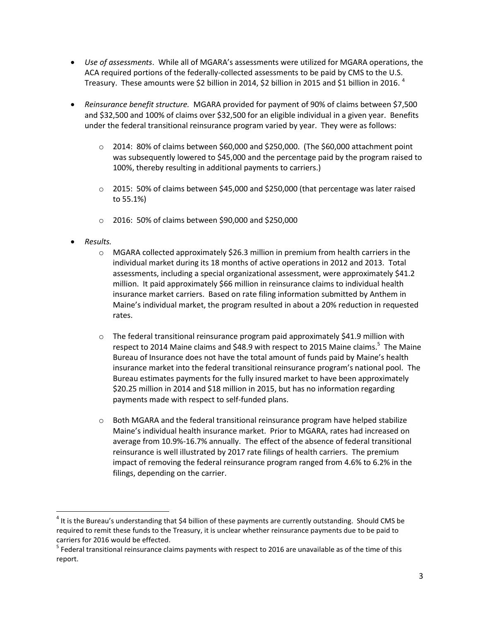- *Use of assessments*. While all of MGARA's assessments were utilized for MGARA operations, the ACA required portions of the federally-collected assessments to be paid by CMS to the U.S. Treasury. These amounts were \$2 billion in 2014, \$2 billion in 2015 and \$1 billion in 2016.  $4$
- *Reinsurance benefit structure.* MGARA provided for payment of 90% of claims between \$7,500 and \$32,500 and 100% of claims over \$32,500 for an eligible individual in a given year. Benefits under the federal transitional reinsurance program varied by year. They were as follows:
	- o 2014: 80% of claims between \$60,000 and \$250,000. (The \$60,000 attachment point was subsequently lowered to \$45,000 and the percentage paid by the program raised to 100%, thereby resulting in additional payments to carriers.)
	- $\circ$  2015: 50% of claims between \$45,000 and \$250,000 (that percentage was later raised to 55.1%)
	- o 2016: 50% of claims between \$90,000 and \$250,000
- *Results.*

- $\circ$  MGARA collected approximately \$26.3 million in premium from health carriers in the individual market during its 18 months of active operations in 2012 and 2013. Total assessments, including a special organizational assessment, were approximately \$41.2 million. It paid approximately \$66 million in reinsurance claims to individual health insurance market carriers. Based on rate filing information submitted by Anthem in Maine's individual market, the program resulted in about a 20% reduction in requested rates.
- $\circ$  The federal transitional reinsurance program paid approximately \$41.9 million with respect to 2014 Maine claims and \$48.9 with respect to 2015 Maine claims.<sup>5</sup> The Maine Bureau of Insurance does not have the total amount of funds paid by Maine's health insurance market into the federal transitional reinsurance program's national pool. The Bureau estimates payments for the fully insured market to have been approximately \$20.25 million in 2014 and \$18 million in 2015, but has no information regarding payments made with respect to self-funded plans.
- $\circ$  Both MGARA and the federal transitional reinsurance program have helped stabilize Maine's individual health insurance market. Prior to MGARA, rates had increased on average from 10.9%-16.7% annually. The effect of the absence of federal transitional reinsurance is well illustrated by 2017 rate filings of health carriers. The premium impact of removing the federal reinsurance program ranged from 4.6% to 6.2% in the filings, depending on the carrier.

 $^4$  It is the Bureau's understanding that \$4 billion of these payments are currently outstanding. Should CMS be required to remit these funds to the Treasury, it is unclear whether reinsurance payments due to be paid to carriers for 2016 would be effected.

 $<sup>5</sup>$  Federal transitional reinsurance claims payments with respect to 2016 are unavailable as of the time of this</sup> report.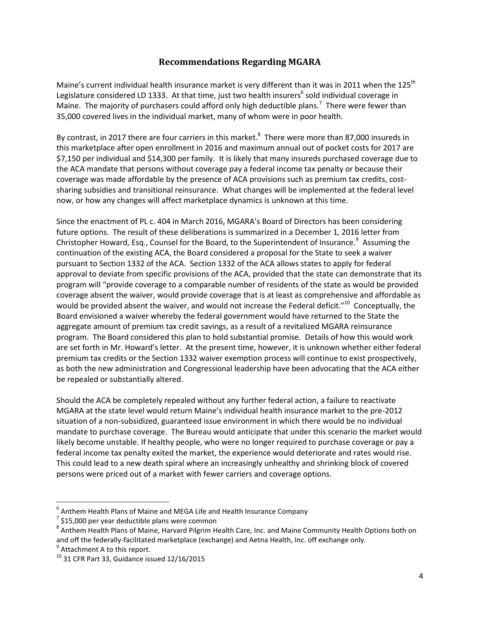## **Recommendations Regarding MGARA**

<span id="page-6-0"></span>Maine's current individual health insurance market is very different than it was in 2011 when the 125<sup>th</sup> Legislature considered LD 1333. At that time, just two health insurers<sup>6</sup> sold individual coverage in Maine. The majority of purchasers could afford only high deductible plans.<sup>7</sup> There were fewer than 35,000 covered lives in the individual market, many of whom were in poor health.

By contrast, in 2017 there are four carriers in this market.<sup>8</sup> There were more than 87,000 insureds in this marketplace after open enrollment in 2016 and maximum annual out of pocket costs for 2017 are \$7,150 per individual and \$14,300 per family. It is likely that many insureds purchased coverage due to the ACA mandate that persons without coverage pay a federal income tax penalty or because their coverage was made affordable by the presence of ACA provisions such as premium tax credits, costsharing subsidies and transitional reinsurance. What changes will be implemented at the federal level now, or how any changes will affect marketplace dynamics is unknown at this time.

Since the enactment of PL c. 404 in March 2016, MGARA's Board of Directors has been considering future options. The result of these deliberations is summarized in a December 1, 2016 letter from Christopher Howard, Esq., Counsel for the Board, to the Superintendent of Insurance.<sup>9</sup> Assuming the continuation of the existing ACA, the Board considered a proposal for the State to seek a waiver pursuant to Section 1332 of the ACA. Section 1332 of the ACA allows states to apply for federal approval to deviate from specific provisions of the ACA, provided that the state can demonstrate that its program will "provide coverage to a comparable number of residents of the state as would be provided coverage absent the waiver, would provide coverage that is at least as comprehensive and affordable as would be provided absent the waiver, and would not increase the Federal deficit."<sup>10</sup> Conceptually, the Board envisioned a waiver whereby the federal government would have returned to the State the aggregate amount of premium tax credit savings, as a result of a revitalized MGARA reinsurance program. The Board considered this plan to hold substantial promise. Details of how this would work are set forth in Mr. Howard's letter. At the present time, however, it is unknown whether either federal premium tax credits or the Section 1332 waiver exemption process will continue to exist prospectively, as both the new administration and Congressional leadership have been advocating that the ACA either be repealed or substantially altered.

Should the ACA be completely repealed without any further federal action, a failure to reactivate MGARA at the state level would return Maine's individual health insurance market to the pre-2012 situation of a non-subsidized, guaranteed issue environment in which there would be no individual mandate to purchase coverage. The Bureau would anticipate that under this scenario the market would likely become unstable. If healthy people, who were no longer required to purchase coverage or pay a federal income tax penalty exited the market, the experience would deteriorate and rates would rise. This could lead to a new death spiral where an increasingly unhealthy and shrinking block of covered persons were priced out of a market with fewer carriers and coverage options.

 $\overline{a}$ 

 $^6$  Anthem Health Plans of Maine and MEGA Life and Health Insurance Company

 $^7$  \$15,000 per year deductible plans were common

<sup>&</sup>lt;sup>8</sup> Anthem Health Plans of Maine, Harvard Pilgrim Health Care, Inc. and Maine Community Health Options both on and off the federally-facilitated marketplace (exchange) and Aetna Health, Inc. off exchange only.

<sup>&</sup>lt;sup>9</sup> Attachment A to this report.

 $10$  31 CFR Part 33, Guidance issued 12/16/2015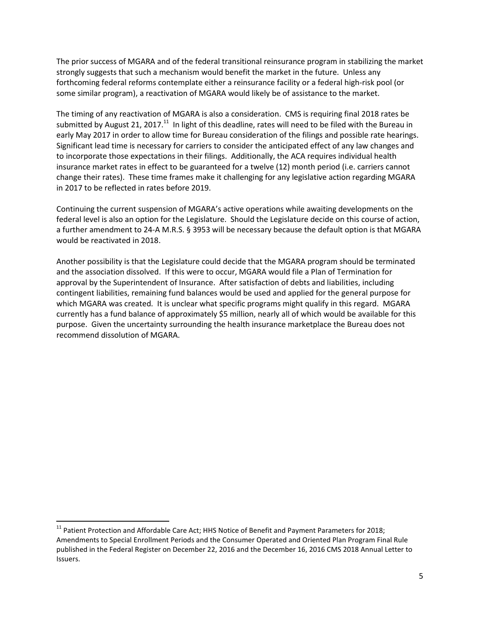The prior success of MGARA and of the federal transitional reinsurance program in stabilizing the market strongly suggests that such a mechanism would benefit the market in the future. Unless any forthcoming federal reforms contemplate either a reinsurance facility or a federal high-risk pool (or some similar program), a reactivation of MGARA would likely be of assistance to the market.

The timing of any reactivation of MGARA is also a consideration. CMS is requiring final 2018 rates be submitted by August 21, 2017.<sup>11</sup> In light of this deadline, rates will need to be filed with the Bureau in early May 2017 in order to allow time for Bureau consideration of the filings and possible rate hearings. Significant lead time is necessary for carriers to consider the anticipated effect of any law changes and to incorporate those expectations in their filings. Additionally, the ACA requires individual health insurance market rates in effect to be guaranteed for a twelve (12) month period (i.e. carriers cannot change their rates). These time frames make it challenging for any legislative action regarding MGARA in 2017 to be reflected in rates before 2019.

Continuing the current suspension of MGARA's active operations while awaiting developments on the federal level is also an option for the Legislature. Should the Legislature decide on this course of action, a further amendment to 24-A M.R.S. § 3953 will be necessary because the default option is that MGARA would be reactivated in 2018.

Another possibility is that the Legislature could decide that the MGARA program should be terminated and the association dissolved. If this were to occur, MGARA would file a Plan of Termination for approval by the Superintendent of Insurance. After satisfaction of debts and liabilities, including contingent liabilities, remaining fund balances would be used and applied for the general purpose for which MGARA was created. It is unclear what specific programs might qualify in this regard. MGARA currently has a fund balance of approximately \$5 million, nearly all of which would be available for this purpose. Given the uncertainty surrounding the health insurance marketplace the Bureau does not recommend dissolution of MGARA.

 $\overline{a}$ 

<sup>&</sup>lt;sup>11</sup> Patient Protection and Affordable Care Act; HHS Notice of Benefit and Payment Parameters for 2018; Amendments to Special Enrollment Periods and the Consumer Operated and Oriented Plan Program Final Rule published in the Federal Register on December 22, 2016 and the December 16, 2016 CMS 2018 Annual Letter to Issuers.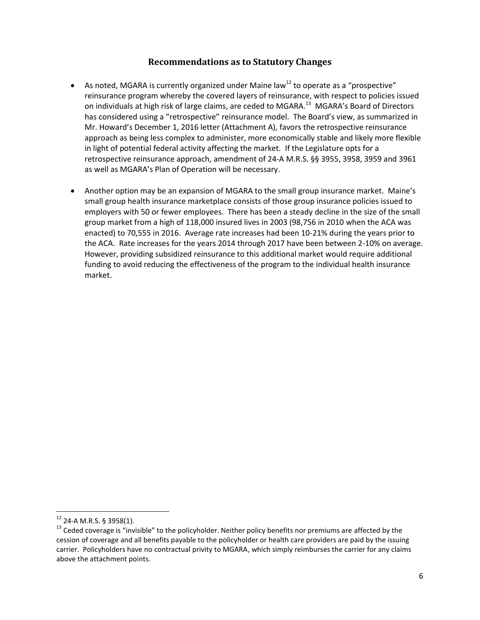### **Recommendations as to Statutory Changes**

- <span id="page-8-0"></span>As noted, MGARA is currently organized under Maine law<sup>12</sup> to operate as a "prospective" reinsurance program whereby the covered layers of reinsurance, with respect to policies issued on individuals at high risk of large claims, are ceded to MGARA.<sup>13</sup> MGARA's Board of Directors has considered using a "retrospective" reinsurance model. The Board's view, as summarized in Mr. Howard's December 1, 2016 letter (Attachment A), favors the retrospective reinsurance approach as being less complex to administer, more economically stable and likely more flexible in light of potential federal activity affecting the market. If the Legislature opts for a retrospective reinsurance approach, amendment of 24-A M.R.S. §§ 3955, 3958, 3959 and 3961 as well as MGARA's Plan of Operation will be necessary.
- Another option may be an expansion of MGARA to the small group insurance market. Maine's small group health insurance marketplace consists of those group insurance policies issued to employers with 50 or fewer employees. There has been a steady decline in the size of the small group market from a high of 118,000 insured lives in 2003 (98,756 in 2010 when the ACA was enacted) to 70,555 in 2016. Average rate increases had been 10-21% during the years prior to the ACA. Rate increases for the years 2014 through 2017 have been between 2-10% on average. However, providing subsidized reinsurance to this additional market would require additional funding to avoid reducing the effectiveness of the program to the individual health insurance market.

 $12$  24-A M.R.S. § 3958(1).

<sup>&</sup>lt;sup>13</sup> Ceded coverage is "invisible" to the policyholder. Neither policy benefits nor premiums are affected by the cession of coverage and all benefits payable to the policyholder or health care providers are paid by the issuing carrier. Policyholders have no contractual privity to MGARA, which simply reimburses the carrier for any claims above the attachment points.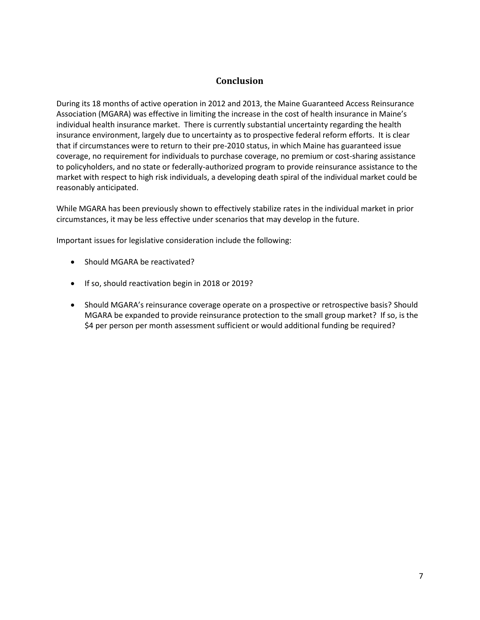### **Conclusion**

<span id="page-9-0"></span>During its 18 months of active operation in 2012 and 2013, the Maine Guaranteed Access Reinsurance Association (MGARA) was effective in limiting the increase in the cost of health insurance in Maine's individual health insurance market. There is currently substantial uncertainty regarding the health insurance environment, largely due to uncertainty as to prospective federal reform efforts. It is clear that if circumstances were to return to their pre-2010 status, in which Maine has guaranteed issue coverage, no requirement for individuals to purchase coverage, no premium or cost-sharing assistance to policyholders, and no state or federally-authorized program to provide reinsurance assistance to the market with respect to high risk individuals, a developing death spiral of the individual market could be reasonably anticipated.

While MGARA has been previously shown to effectively stabilize rates in the individual market in prior circumstances, it may be less effective under scenarios that may develop in the future.

Important issues for legislative consideration include the following:

- Should MGARA be reactivated?
- **If so, should reactivation begin in 2018 or 2019?**
- Should MGARA's reinsurance coverage operate on a prospective or retrospective basis? Should MGARA be expanded to provide reinsurance protection to the small group market? If so, is the \$4 per person per month assessment sufficient or would additional funding be required?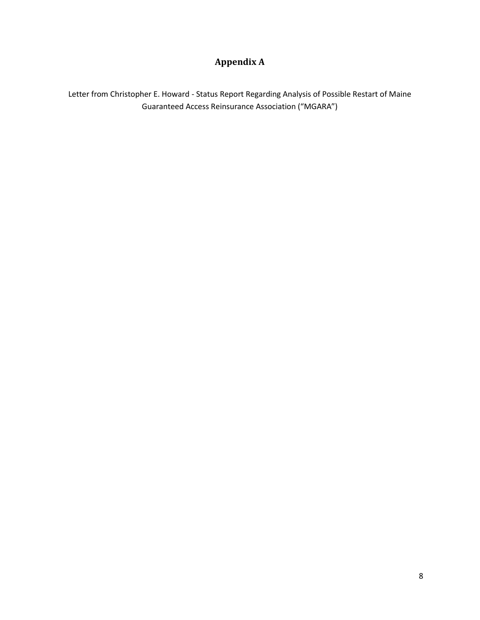# **Appendix A**

<span id="page-10-0"></span>Letter from Christopher E. Howard - Status Report Regarding Analysis of Possible Restart of Maine Guaranteed Access Reinsurance Association ("MGARA")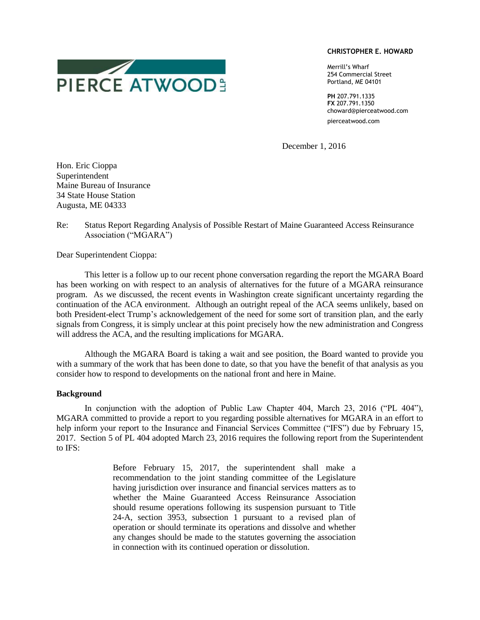#### **CHRISTOPHER E. HOWARD**

Merrill's Wharf 254 Commercial Street Portland, ME 04101

**PH** 207.791.1335 **FX** 207.791.1350 choward@pierceatwood.com pierceatwood.com

December 1, 2016

Hon. Eric Cioppa Superintendent Maine Bureau of Insurance 34 State House Station Augusta, ME 04333

#### Re: Status Report Regarding Analysis of Possible Restart of Maine Guaranteed Access Reinsurance Association ("MGARA")

Dear Superintendent Cioppa:

This letter is a follow up to our recent phone conversation regarding the report the MGARA Board has been working on with respect to an analysis of alternatives for the future of a MGARA reinsurance program. As we discussed, the recent events in Washington create significant uncertainty regarding the continuation of the ACA environment. Although an outright repeal of the ACA seems unlikely, based on both President-elect Trump's acknowledgement of the need for some sort of transition plan, and the early signals from Congress, it is simply unclear at this point precisely how the new administration and Congress will address the ACA, and the resulting implications for MGARA.

Although the MGARA Board is taking a wait and see position, the Board wanted to provide you with a summary of the work that has been done to date, so that you have the benefit of that analysis as you consider how to respond to developments on the national front and here in Maine.

#### **Background**

In conjunction with the adoption of Public Law Chapter 404, March 23, 2016 ("PL 404"), MGARA committed to provide a report to you regarding possible alternatives for MGARA in an effort to help inform your report to the Insurance and Financial Services Committee ("IFS") due by February 15, 2017. Section 5 of PL 404 adopted March 23, 2016 requires the following report from the Superintendent to IFS:

> Before February 15, 2017, the superintendent shall make a recommendation to the joint standing committee of the Legislature having jurisdiction over insurance and financial services matters as to whether the Maine Guaranteed Access Reinsurance Association should resume operations following its suspension pursuant to Title 24-A, section 3953, subsection 1 pursuant to a revised plan of operation or should terminate its operations and dissolve and whether any changes should be made to the statutes governing the association in connection with its continued operation or dissolution.

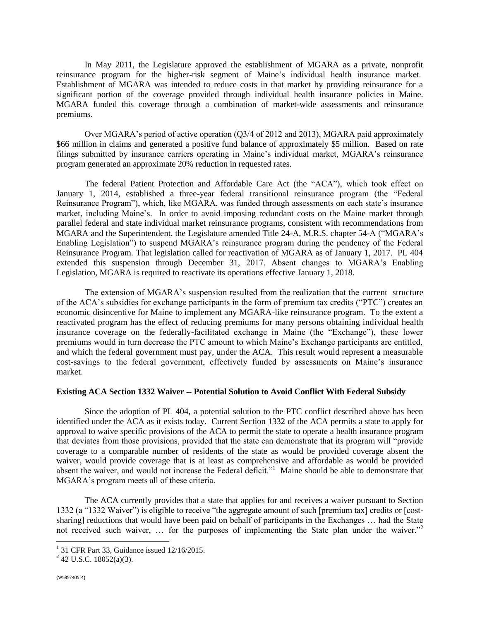In May 2011, the Legislature approved the establishment of MGARA as a private, nonprofit reinsurance program for the higher-risk segment of Maine's individual health insurance market. Establishment of MGARA was intended to reduce costs in that market by providing reinsurance for a significant portion of the coverage provided through individual health insurance policies in Maine. MGARA funded this coverage through a combination of market-wide assessments and reinsurance premiums.

Over MGARA's period of active operation (Q3/4 of 2012 and 2013), MGARA paid approximately \$66 million in claims and generated a positive fund balance of approximately \$5 million. Based on rate filings submitted by insurance carriers operating in Maine's individual market, MGARA's reinsurance program generated an approximate 20% reduction in requested rates.

The federal Patient Protection and Affordable Care Act (the "ACA"), which took effect on January 1, 2014, established a three-year federal transitional reinsurance program (the "Federal Reinsurance Program"), which, like MGARA, was funded through assessments on each state's insurance market, including Maine's. In order to avoid imposing redundant costs on the Maine market through parallel federal and state individual market reinsurance programs, consistent with recommendations from MGARA and the Superintendent, the Legislature amended Title 24-A, M.R.S. chapter 54-A ("MGARA's Enabling Legislation") to suspend MGARA's reinsurance program during the pendency of the Federal Reinsurance Program. That legislation called for reactivation of MGARA as of January 1, 2017. PL 404 extended this suspension through December 31, 2017. Absent changes to MGARA's Enabling Legislation, MGARA is required to reactivate its operations effective January 1, 2018.

The extension of MGARA's suspension resulted from the realization that the current structure of the ACA's subsidies for exchange participants in the form of premium tax credits ("PTC") creates an economic disincentive for Maine to implement any MGARA-like reinsurance program. To the extent a reactivated program has the effect of reducing premiums for many persons obtaining individual health insurance coverage on the federally-facilitated exchange in Maine (the "Exchange"), these lower premiums would in turn decrease the PTC amount to which Maine's Exchange participants are entitled, and which the federal government must pay, under the ACA. This result would represent a measurable cost-savings to the federal government, effectively funded by assessments on Maine's insurance market.

#### **Existing ACA Section 1332 Waiver -- Potential Solution to Avoid Conflict With Federal Subsidy**

Since the adoption of PL 404, a potential solution to the PTC conflict described above has been identified under the ACA as it exists today. Current Section 1332 of the ACA permits a state to apply for approval to waive specific provisions of the ACA to permit the state to operate a health insurance program that deviates from those provisions, provided that the state can demonstrate that its program will "provide coverage to a comparable number of residents of the state as would be provided coverage absent the waiver, would provide coverage that is at least as comprehensive and affordable as would be provided absent the waiver, and would not increase the Federal deficit."<sup>1</sup> Maine should be able to demonstrate that MGARA's program meets all of these criteria.

The ACA currently provides that a state that applies for and receives a waiver pursuant to Section 1332 (a "1332 Waiver") is eligible to receive "the aggregate amount of such [premium tax] credits or [costsharing] reductions that would have been paid on behalf of participants in the Exchanges … had the State not received such waiver, ... for the purposes of implementing the State plan under the waiver."<sup>2</sup>

<sup>&</sup>lt;sup>1</sup> 31 CFR Part 33, Guidance issued 12/16/2015.

 $2^{2}$  42 U.S.C. 18052(a)(3).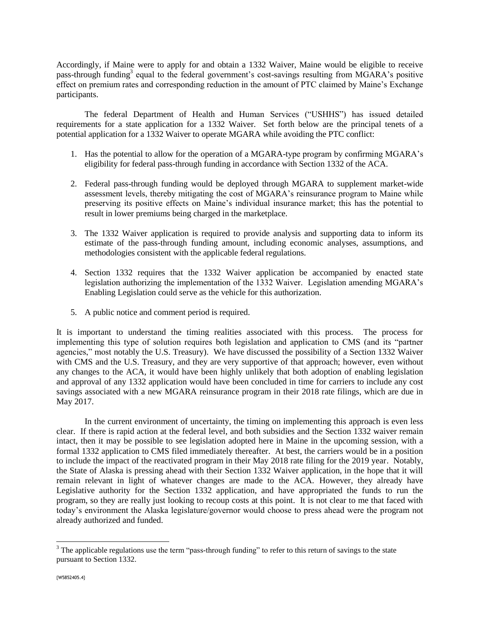Accordingly, if Maine were to apply for and obtain a 1332 Waiver, Maine would be eligible to receive pass-through funding<sup>3</sup> equal to the federal government's cost-savings resulting from MGARA's positive effect on premium rates and corresponding reduction in the amount of PTC claimed by Maine's Exchange participants.

The federal Department of Health and Human Services ("USHHS") has issued detailed requirements for a state application for a 1332 Waiver. Set forth below are the principal tenets of a potential application for a 1332 Waiver to operate MGARA while avoiding the PTC conflict:

- 1. Has the potential to allow for the operation of a MGARA-type program by confirming MGARA's eligibility for federal pass-through funding in accordance with Section 1332 of the ACA.
- 2. Federal pass-through funding would be deployed through MGARA to supplement market-wide assessment levels, thereby mitigating the cost of MGARA's reinsurance program to Maine while preserving its positive effects on Maine's individual insurance market; this has the potential to result in lower premiums being charged in the marketplace.
- 3. The 1332 Waiver application is required to provide analysis and supporting data to inform its estimate of the pass-through funding amount, including economic analyses, assumptions, and methodologies consistent with the applicable federal regulations.
- 4. Section 1332 requires that the 1332 Waiver application be accompanied by enacted state legislation authorizing the implementation of the 1332 Waiver. Legislation amending MGARA's Enabling Legislation could serve as the vehicle for this authorization.
- 5. A public notice and comment period is required.

It is important to understand the timing realities associated with this process. The process for implementing this type of solution requires both legislation and application to CMS (and its "partner agencies," most notably the U.S. Treasury). We have discussed the possibility of a Section 1332 Waiver with CMS and the U.S. Treasury, and they are very supportive of that approach; however, even without any changes to the ACA, it would have been highly unlikely that both adoption of enabling legislation and approval of any 1332 application would have been concluded in time for carriers to include any cost savings associated with a new MGARA reinsurance program in their 2018 rate filings, which are due in May 2017.

In the current environment of uncertainty, the timing on implementing this approach is even less clear. If there is rapid action at the federal level, and both subsidies and the Section 1332 waiver remain intact, then it may be possible to see legislation adopted here in Maine in the upcoming session, with a formal 1332 application to CMS filed immediately thereafter. At best, the carriers would be in a position to include the impact of the reactivated program in their May 2018 rate filing for the 2019 year. Notably, the State of Alaska is pressing ahead with their Section 1332 Waiver application, in the hope that it will remain relevant in light of whatever changes are made to the ACA. However, they already have Legislative authority for the Section 1332 application, and have appropriated the funds to run the program, so they are really just looking to recoup costs at this point. It is not clear to me that faced with today's environment the Alaska legislature/governor would choose to press ahead were the program not already authorized and funded.

 $3$  The applicable regulations use the term "pass-through funding" to refer to this return of savings to the state pursuant to Section 1332.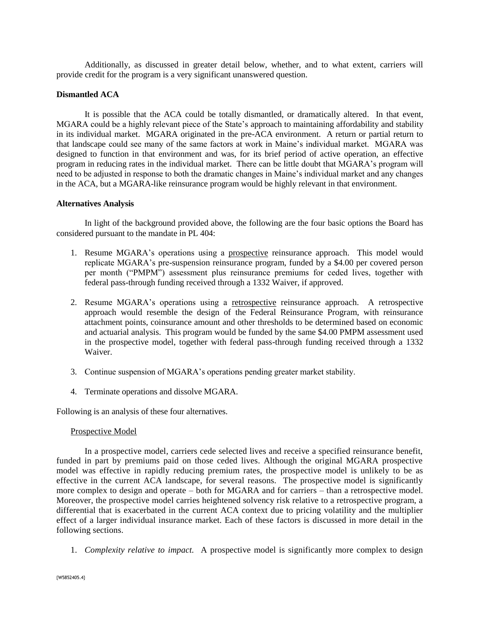Additionally, as discussed in greater detail below, whether, and to what extent, carriers will provide credit for the program is a very significant unanswered question.

#### **Dismantled ACA**

It is possible that the ACA could be totally dismantled, or dramatically altered. In that event, MGARA could be a highly relevant piece of the State's approach to maintaining affordability and stability in its individual market. MGARA originated in the pre-ACA environment. A return or partial return to that landscape could see many of the same factors at work in Maine's individual market. MGARA was designed to function in that environment and was, for its brief period of active operation, an effective program in reducing rates in the individual market. There can be little doubt that MGARA's program will need to be adjusted in response to both the dramatic changes in Maine's individual market and any changes in the ACA, but a MGARA-like reinsurance program would be highly relevant in that environment.

#### **Alternatives Analysis**

In light of the background provided above, the following are the four basic options the Board has considered pursuant to the mandate in PL 404:

- 1. Resume MGARA's operations using a prospective reinsurance approach. This model would replicate MGARA's pre-suspension reinsurance program, funded by a \$4.00 per covered person per month ("PMPM") assessment plus reinsurance premiums for ceded lives, together with federal pass-through funding received through a 1332 Waiver, if approved.
- 2. Resume MGARA's operations using a retrospective reinsurance approach. A retrospective approach would resemble the design of the Federal Reinsurance Program, with reinsurance attachment points, coinsurance amount and other thresholds to be determined based on economic and actuarial analysis. This program would be funded by the same \$4.00 PMPM assessment used in the prospective model, together with federal pass-through funding received through a 1332 Waiver.
- 3. Continue suspension of MGARA's operations pending greater market stability.
- 4. Terminate operations and dissolve MGARA.

Following is an analysis of these four alternatives.

#### Prospective Model

In a prospective model, carriers cede selected lives and receive a specified reinsurance benefit, funded in part by premiums paid on those ceded lives. Although the original MGARA prospective model was effective in rapidly reducing premium rates, the prospective model is unlikely to be as effective in the current ACA landscape, for several reasons. The prospective model is significantly more complex to design and operate – both for MGARA and for carriers – than a retrospective model. Moreover, the prospective model carries heightened solvency risk relative to a retrospective program, a differential that is exacerbated in the current ACA context due to pricing volatility and the multiplier effect of a larger individual insurance market. Each of these factors is discussed in more detail in the following sections.

1. *Complexity relative to impact.* A prospective model is significantly more complex to design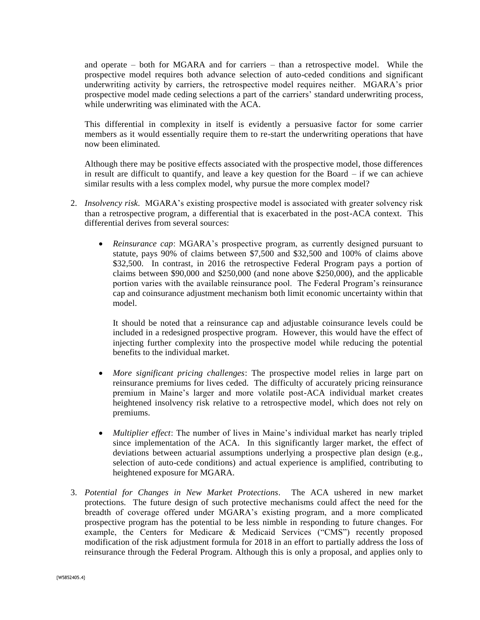and operate – both for MGARA and for carriers – than a retrospective model. While the prospective model requires both advance selection of auto-ceded conditions and significant underwriting activity by carriers, the retrospective model requires neither. MGARA's prior prospective model made ceding selections a part of the carriers' standard underwriting process, while underwriting was eliminated with the ACA.

This differential in complexity in itself is evidently a persuasive factor for some carrier members as it would essentially require them to re-start the underwriting operations that have now been eliminated.

Although there may be positive effects associated with the prospective model, those differences in result are difficult to quantify, and leave a key question for the Board  $-$  if we can achieve similar results with a less complex model, why pursue the more complex model?

- 2. *Insolvency risk.* MGARA's existing prospective model is associated with greater solvency risk than a retrospective program, a differential that is exacerbated in the post-ACA context. This differential derives from several sources:
	- *Reinsurance cap*: MGARA's prospective program, as currently designed pursuant to statute, pays 90% of claims between \$7,500 and \$32,500 and 100% of claims above \$32,500. In contrast, in 2016 the retrospective Federal Program pays a portion of claims between \$90,000 and \$250,000 (and none above \$250,000), and the applicable portion varies with the available reinsurance pool. The Federal Program's reinsurance cap and coinsurance adjustment mechanism both limit economic uncertainty within that model.

It should be noted that a reinsurance cap and adjustable coinsurance levels could be included in a redesigned prospective program. However, this would have the effect of injecting further complexity into the prospective model while reducing the potential benefits to the individual market.

- *More significant pricing challenges*: The prospective model relies in large part on reinsurance premiums for lives ceded. The difficulty of accurately pricing reinsurance premium in Maine's larger and more volatile post-ACA individual market creates heightened insolvency risk relative to a retrospective model, which does not rely on premiums.
- *Multiplier effect*: The number of lives in Maine's individual market has nearly tripled since implementation of the ACA. In this significantly larger market, the effect of deviations between actuarial assumptions underlying a prospective plan design (e.g., selection of auto-cede conditions) and actual experience is amplified, contributing to heightened exposure for MGARA.
- 3. *Potential for Changes in New Market Protections.* The ACA ushered in new market protections. The future design of such protective mechanisms could affect the need for the breadth of coverage offered under MGARA's existing program, and a more complicated prospective program has the potential to be less nimble in responding to future changes. For example, the Centers for Medicare & Medicaid Services ("CMS") recently proposed modification of the risk adjustment formula for 2018 in an effort to partially address the loss of reinsurance through the Federal Program. Although this is only a proposal, and applies only to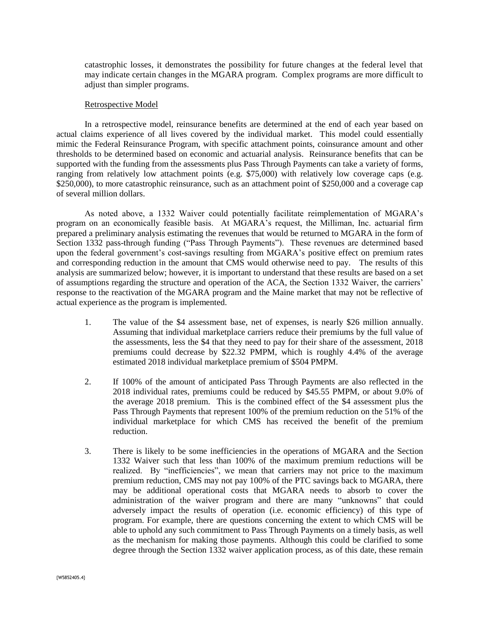catastrophic losses, it demonstrates the possibility for future changes at the federal level that may indicate certain changes in the MGARA program. Complex programs are more difficult to adjust than simpler programs.

#### Retrospective Model

In a retrospective model, reinsurance benefits are determined at the end of each year based on actual claims experience of all lives covered by the individual market. This model could essentially mimic the Federal Reinsurance Program, with specific attachment points, coinsurance amount and other thresholds to be determined based on economic and actuarial analysis. Reinsurance benefits that can be supported with the funding from the assessments plus Pass Through Payments can take a variety of forms, ranging from relatively low attachment points (e.g. \$75,000) with relatively low coverage caps (e.g. \$250,000), to more catastrophic reinsurance, such as an attachment point of \$250,000 and a coverage cap of several million dollars.

As noted above, a 1332 Waiver could potentially facilitate reimplementation of MGARA's program on an economically feasible basis. At MGARA's request, the Milliman, Inc. actuarial firm prepared a preliminary analysis estimating the revenues that would be returned to MGARA in the form of Section 1332 pass-through funding ("Pass Through Payments"). These revenues are determined based upon the federal government's cost-savings resulting from MGARA's positive effect on premium rates and corresponding reduction in the amount that CMS would otherwise need to pay. The results of this analysis are summarized below; however, it is important to understand that these results are based on a set of assumptions regarding the structure and operation of the ACA, the Section 1332 Waiver, the carriers' response to the reactivation of the MGARA program and the Maine market that may not be reflective of actual experience as the program is implemented.

- 1. The value of the \$4 assessment base, net of expenses, is nearly \$26 million annually. Assuming that individual marketplace carriers reduce their premiums by the full value of the assessments, less the \$4 that they need to pay for their share of the assessment, 2018 premiums could decrease by \$22.32 PMPM, which is roughly 4.4% of the average estimated 2018 individual marketplace premium of \$504 PMPM.
- 2. If 100% of the amount of anticipated Pass Through Payments are also reflected in the 2018 individual rates, premiums could be reduced by \$45.55 PMPM, or about 9.0% of the average 2018 premium. This is the combined effect of the \$4 assessment plus the Pass Through Payments that represent 100% of the premium reduction on the 51% of the individual marketplace for which CMS has received the benefit of the premium reduction.
- 3. There is likely to be some inefficiencies in the operations of MGARA and the Section 1332 Waiver such that less than 100% of the maximum premium reductions will be realized. By "inefficiencies", we mean that carriers may not price to the maximum premium reduction, CMS may not pay 100% of the PTC savings back to MGARA, there may be additional operational costs that MGARA needs to absorb to cover the administration of the waiver program and there are many "unknowns" that could adversely impact the results of operation (i.e. economic efficiency) of this type of program. For example, there are questions concerning the extent to which CMS will be able to uphold any such commitment to Pass Through Payments on a timely basis, as well as the mechanism for making those payments. Although this could be clarified to some degree through the Section 1332 waiver application process, as of this date, these remain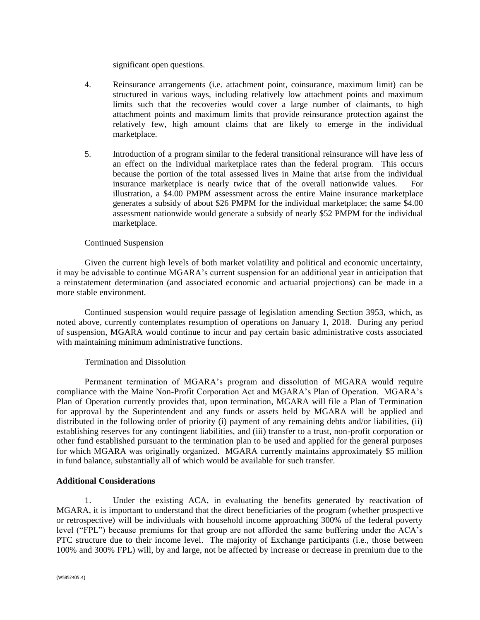significant open questions.

- 4. Reinsurance arrangements (i.e. attachment point, coinsurance, maximum limit) can be structured in various ways, including relatively low attachment points and maximum limits such that the recoveries would cover a large number of claimants, to high attachment points and maximum limits that provide reinsurance protection against the relatively few, high amount claims that are likely to emerge in the individual marketplace.
- 5. Introduction of a program similar to the federal transitional reinsurance will have less of an effect on the individual marketplace rates than the federal program. This occurs because the portion of the total assessed lives in Maine that arise from the individual insurance marketplace is nearly twice that of the overall nationwide values. For illustration, a \$4.00 PMPM assessment across the entire Maine insurance marketplace generates a subsidy of about \$26 PMPM for the individual marketplace; the same \$4.00 assessment nationwide would generate a subsidy of nearly \$52 PMPM for the individual marketplace.

#### Continued Suspension

Given the current high levels of both market volatility and political and economic uncertainty, it may be advisable to continue MGARA's current suspension for an additional year in anticipation that a reinstatement determination (and associated economic and actuarial projections) can be made in a more stable environment.

Continued suspension would require passage of legislation amending Section 3953, which, as noted above, currently contemplates resumption of operations on January 1, 2018. During any period of suspension, MGARA would continue to incur and pay certain basic administrative costs associated with maintaining minimum administrative functions.

#### Termination and Dissolution

Permanent termination of MGARA's program and dissolution of MGARA would require compliance with the Maine Non-Profit Corporation Act and MGARA's Plan of Operation. MGARA's Plan of Operation currently provides that, upon termination, MGARA will file a Plan of Termination for approval by the Superintendent and any funds or assets held by MGARA will be applied and distributed in the following order of priority (i) payment of any remaining debts and/or liabilities, (ii) establishing reserves for any contingent liabilities, and (iii) transfer to a trust, non-profit corporation or other fund established pursuant to the termination plan to be used and applied for the general purposes for which MGARA was originally organized. MGARA currently maintains approximately \$5 million in fund balance, substantially all of which would be available for such transfer.

#### **Additional Considerations**

1. Under the existing ACA, in evaluating the benefits generated by reactivation of MGARA, it is important to understand that the direct beneficiaries of the program (whether prospective or retrospective) will be individuals with household income approaching 300% of the federal poverty level ("FPL") because premiums for that group are not afforded the same buffering under the ACA's PTC structure due to their income level. The majority of Exchange participants (i.e., those between 100% and 300% FPL) will, by and large, not be affected by increase or decrease in premium due to the